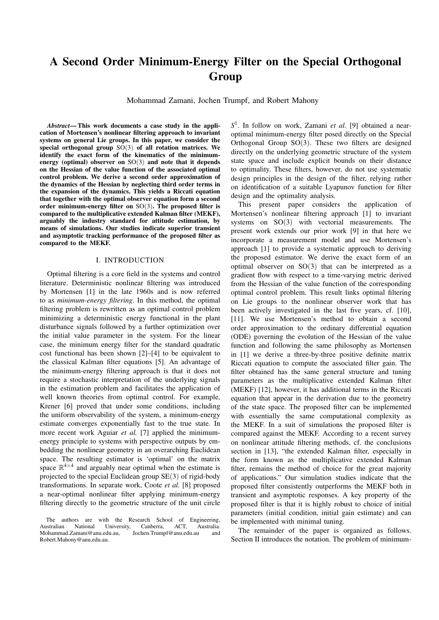# A Second Order Minimum-Energy Filter on the Special Orthogonal Group

Mohammad Zamani, Jochen Trumpf, and Robert Mahony

*Abstract*— This work documents a case study in the application of Mortensen's nonlinear filtering approach to invariant systems on general Lie groups. In this paper, we consider the special orthogonal group SO(3) of all rotation matrices. We identify the exact form of the kinematics of the minimumenergy (optimal) observer on SO(3) and note that it depends on the Hessian of the value function of the associated optimal control problem. We derive a second order approximation of the dynamics of the Hessian by neglecting third order terms in the expansion of the dynamics. This yields a Riccati equation that together with the optimal observer equation form a second order minimum-energy filter on  $SO(3)$ . The proposed filter is compared to the multiplicative extended Kalman filter (MEKF), arguably the industry standard for attitude estimation, by means of simulations. Our studies indicate superior transient and asymptotic tracking performance of the proposed filter as compared to the MEKF.

#### I. INTRODUCTION

Optimal filtering is a core field in the systems and control literature. Deterministic nonlinear filtering was introduced by Mortensen [1] in the late 1960s and is now referred to as *minimum-energy filtering*. In this method, the optimal filtering problem is rewritten as an optimal control problem minimizing a deterministic energy functional in the plant disturbance signals followed by a further optimization over the initial value parameter in the system. For the linear case, the minimum energy filter for the standard quadratic cost functional has been shown [2]–[4] to be equivalent to the classical Kalman filter equations [5]. An advantage of the minimum-energy filtering approach is that it does not require a stochastic interpretation of the underlying signals in the estimation problem and facilitates the application of well known theories from optimal control. For example, Krener [6] proved that under some conditions, including the uniform observability of the system, a minimum-energy estimate converges exponentially fast to the true state. In more recent work Aguiar *et al.* [7] applied the minimumenergy principle to systems with perspective outputs by embedding the nonlinear geometry in an overarching Euclidean space. The resulting estimator is 'optimal' on the matrix space  $\mathbb{R}^{4\times4}$  and arguably near optimal when the estimate is projected to the special Euclidean group SE(3) of rigid-body transformations. In separate work, Coote *et al.* [8] proposed a near-optimal nonlinear filter applying minimum-energy filtering directly to the geometric structure of the unit circle

*S* 1 . In follow on work, Zamani *et al.* [9] obtained a nearoptimal minimum-energy filter posed directly on the Special Orthogonal Group SO(3). These two filters are designed directly on the underlying geometric structure of the system state space and include explicit bounds on their distance to optimality. These filters, however, do not use systematic design principles in the design of the filter, relying rather on identification of a suitable Lyapunov function for filter design and the optimality analysis.

This present paper considers the application of Mortensen's nonlinear filtering approach [1] to invariant systems on SO(3) with vectorial measurements. The present work extends our prior work [9] in that here we incorporate a measurement model and use Mortensen's approach [1] to provide a systematic approach to deriving the proposed estimator. We derive the exact form of an optimal observer on  $SO(3)$  that can be interpreted as a gradient flow with respect to a time-varying metric derived from the Hessian of the value function of the corresponding optimal control problem. This result links optimal filtering on Lie groups to the nonlinear observer work that has been actively investigated in the last five years, cf. [10], [11]. We use Mortensen's method to obtain a second order approximation to the ordinary differential equation (ODE) governing the evolution of the Hessian of the value function and following the same philosophy as Mortensen in [1] we derive a three-by-three positive definite matrix Riccati equation to compute the associated filter gain. The filter obtained has the same general structure and tuning parameters as the multiplicative extended Kalman filter (MEKF) [12], however, it has additional terms in the Riccati equation that appear in the derivation due to the geometry of the state space. The proposed filter can be implemented with essentially the same computational complexity as the MEKF. In a suit of simulations the proposed filter is compared against the MEKF. According to a recent survey on nonlinear attitude filtering methods, cf. the conclusions section in [13], "the extended Kalman filter, especially in the form known as the multiplicative extended Kalman filter, remains the method of choice for the great majority of applications." Our simulation studies indicate that the proposed filter consistently outperforms the MEKF both in transient and asymptotic responses. A key property of the proposed filter is that it is highly robust to choice of initial parameters (initial condition, initial gain estimate) and can be implemented with minimal tuning.

The remainder of the paper is organized as follows. Section II introduces the notation. The problem of minimum-

The authors are with the Research School of Engineering,<br>Australian National University, Canberra, ACT, Australia. University, Canberra, ACT, Australia. Mohammad.Zamani@anu.edu.au, Jochen.Trumpf@anu.edu.au and Robert.Mahony@anu.edu.au.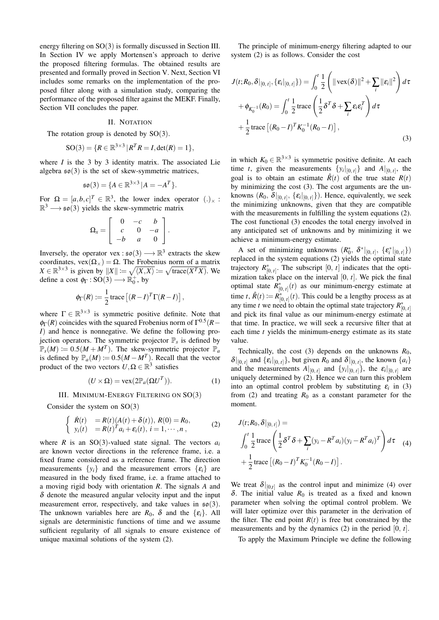energy filtering on SO(3) is formally discussed in Section III. In Section IV we apply Mortensen's approach to derive the proposed filtering formulas. The obtained results are presented and formally proved in Section V. Next, Section VI includes some remarks on the implementation of the proposed filter along with a simulation study, comparing the performance of the proposed filter against the MEKF. Finally, Section VII concludes the paper.

### II. NOTATION

The rotation group is denoted by  $SO(3)$ .

$$
SO(3) = \{ R \in \mathbb{R}^{3 \times 3} | R^T R = I, \det(R) = 1 \},
$$

where *I* is the 3 by 3 identity matrix. The associated Lie algebra  $\mathfrak{so}(3)$  is the set of skew-symmetric matrices,

$$
\mathfrak{so}(3) = \{A \in \mathbb{R}^{3 \times 3} | A = -A^T\}.
$$

For  $\Omega = [a, b, c]^T \in \mathbb{R}^3$ , the lower index operator  $(.)_{\times}$ :  $\mathbb{R}^3 \longrightarrow$  so(3) yields the skew-symmetric matrix

$$
\Omega_x = \left[ \begin{array}{rrr} 0 & -c & b \\ c & 0 & -a \\ -b & a & 0 \end{array} \right].
$$

Inversely, the operator vex :  $\mathfrak{so}(3) \longrightarrow \mathbb{R}^3$  extracts the skew coordinates,  $\text{vex}(\Omega_{\times}) = \Omega$ . The Frobenius norm of a matrix  $X \in \mathbb{R}^{3 \times 3}$  is given by  $||X|| := \sqrt{\langle X, X \rangle} := \sqrt{\text{trace}(X^T X)}$ . We define a cost  $\phi_{\Gamma} : SO(3) \longrightarrow \mathbb{R}^+_0$ , by

$$
\phi_{\Gamma}(R) := \frac{1}{2} \operatorname{trace} \left[ (R - I)^T \Gamma (R - I) \right],
$$

where  $\Gamma \in \mathbb{R}^{3 \times 3}$  is symmetric positive definite. Note that  $\phi_{\Gamma}(R)$  coincides with the squared Frobenius norm of  $\Gamma^{0.5}(R -$ *I*) and hence is nonnegative. We define the following projection operators. The symmetric projector  $\mathbb{P}_s$  is defined by  $\mathbb{P}_s(M) := 0.5(M + M^T)$ . The skew-symmetric projector  $\mathbb{P}_a$ is defined by  $\mathbb{P}_a(M) := 0.5(M - M^T)$ . Recall that the vector product of the two vectors  $U, \Omega \in \mathbb{R}^3$  satisfies

$$
(U \times \Omega) = \text{vex}(2\mathbb{P}_a(\Omega U^T)).
$$
 (1)

#### III. MINIMUM-ENERGY FILTERING ON SO(3)

Consider the system on  $SO(3)$ 

$$
\begin{cases}\n\dot{R}(t) = R(t)(A(t) + \delta(t)), R(0) = R_0, \\
y_i(t) = R(t)^T a_i + \varepsilon_i(t), i = 1, \cdots, n,\n\end{cases}
$$
\n(2)

where *R* is an SO(3)-valued state signal. The vectors  $a_i$ are known vector directions in the reference frame, i.e. a fixed frame considered as a reference frame. The direction measurements  $\{y_i\}$  and the measurement errors  $\{\varepsilon_i\}$  are measured in the body fixed frame, i.e. a frame attached to a moving rigid body with orientation *R*. The signals *A* and  $\delta$  denote the measured angular velocity input and the input measurement error, respectively, and take values in  $\mathfrak{so}(3)$ . The unknown variables here are  $R_0$ ,  $\delta$  and the  $\{\varepsilon_i\}$ . All signals are deterministic functions of time and we assume sufficient regularity of all signals to ensure existence of unique maximal solutions of the system (2).

The principle of minimum-energy filtering adapted to our system (2) is as follows. Consider the cost

$$
J(t;R_0, \delta|_{[0, t]}, {\varepsilon_i|_{[0, t]}}) = \int_0^t \frac{1}{2} \left( ||\text{vex}(\delta)||^2 + \sum_i ||\varepsilon_i||^2 \right) d\tau
$$
  
+  $\phi_{K_0^{-1}}(R_0) = \int_0^t \frac{1}{2} \text{trace} \left( \frac{1}{2} \delta^T \delta + \sum_i \varepsilon_i \varepsilon_i^T \right) d\tau$   
+  $\frac{1}{2} \text{trace} \left[ (R_0 - I)^T K_0^{-1} (R_0 - I) \right],$  (3)

in which  $K_0 \in \mathbb{R}^{3 \times 3}$  is symmetric positive definite. At each time *t*, given the measurements  $\{y_i|_{[0, t]}\}\$  and  $A|_{[0, t]}$ , the goal is to obtain an estimate  $\hat{R}(t)$  of the true state  $R(t)$ by minimizing the cost (3). The cost arguments are the unknowns  $(R_0, \delta|_{[0, t]}, {\varepsilon_i|_{[0, t]}})$ . Hence, equivalently, we seek the minimizing unknowns, given that they are compatible with the measurements in fulfilling the system equations (2). The cost functional (3) encodes the total energy involved in any anticipated set of unknowns and by minimizing it we achieve a minimum-energy estimate.

A set of minimizing unknowns  $(R_0^*, \delta^*|_{[0, t]}, \{\varepsilon_i^*|_{[0, t]}\})$ replaced in the system equations (2) yields the optimal state trajectory  $R^*_{[0, t]}$ . The subscript  $[0, t]$  indicates that the optimization takes place on the interval [0, *t*]. We pick the final optimal state  $R^*_{[0, t]}(t)$  as our minimum-energy estimate at time *t*,  $\hat{R}(t) := R^*_{[0, t]}(t)$ . This could be a lengthy process as at any time *t* we need to obtain the optimal state trajectory  $R^*_{[0, t]}$ and pick its final value as our minimum-energy estimate at that time. In practice, we will seek a recursive filter that at each time *t* yields the minimum-energy estimate as its state value.

Technically, the cost (3) depends on the unknowns *R*0,  $\delta|_{[0, t]}$  and  $\{\varepsilon_i|_{[0, t]}\}$ , but given  $R_0$  and  $\delta|_{[0, t]}$ , the known  $\{a_i\}$ and the measurements  $A|_{[0, t]}$  and  $\{y_i|_{[0, t]}\}$ , the  $\varepsilon_i|_{[0, t]}$  are uniquely determined by (2). Hence we can turn this problem into an optimal control problem by substituting  $\varepsilon_i$  in (3) from (2) and treating  $R_0$  as a constant parameter for the moment.

$$
J(t; R_0, \delta|_{[0, t]}) =
$$
  

$$
\int_0^t \frac{1}{2} \operatorname{trace} \left( \frac{1}{2} \delta^T \delta + \sum_i (y_i - R^T a_i) (y_i - R^T a_i)^T \right) d\tau
$$
  

$$
+ \frac{1}{2} \operatorname{trace} \left[ (R_0 - I)^T K_0^{-1} (R_0 - I) \right].
$$
 (4)

We treat  $\delta|_{[0,t]}$  as the control input and minimize (4) over δ. The initial value  $R_0$  is treated as a fixed and known parameter when solving the optimal control problem. We will later optimize over this parameter in the derivation of the filter. The end point  $R(t)$  is free but constrained by the measurements and by the dynamics (2) in the period [0, *t*].

To apply the Maximum Principle we define the following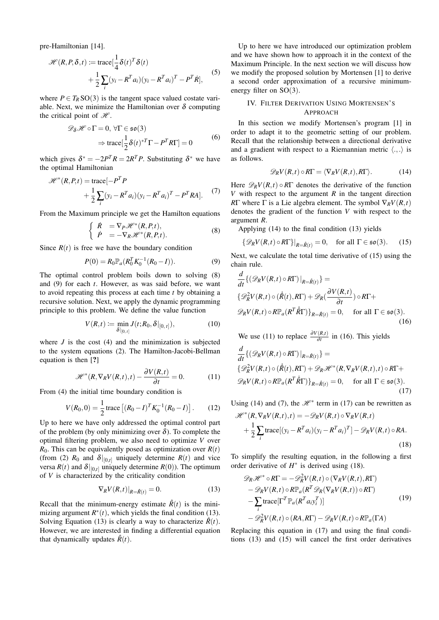pre-Hamiltonian [14].

$$
\mathcal{H}(R, P, \delta, t) := \text{trace}[\frac{1}{4}\delta(t)^T\delta(t) + \frac{1}{2}\sum_{i} (y_i - R^T a_i)(y_i - R^T a_i)^T - P^T \dot{R}],
$$
\n(5)

where  $P \in T_R$  SO(3) is the tangent space valued costate variable. Next, we minimize the Hamiltonian over  $\delta$  computing the critical point of  $\mathcal{H}$ .

$$
\mathcal{D}_{\delta} \mathcal{H} \circ \Gamma = 0, \forall \Gamma \in \mathfrak{so}(3)
$$
  

$$
\Rightarrow \text{trace}[\frac{1}{2}\delta(t)^{*T}\Gamma - P^{T}R\Gamma] = 0
$$
 (6)

which gives  $\delta^* = -2P^T R = 2R^T P$ . Substituting  $\delta^*$  we have the optimal Hamiltonian

$$
\mathcal{H}^*(R, P, t) = \text{trace}\left[-P^T P + \frac{1}{2}\sum_{i} (y_i - R^T a_i)(y_i - R^T a_i)^T - P^T R A\right].
$$
 (7)

From the Maximum principle we get the Hamilton equations

$$
\begin{cases}\n\dot{R} &= \nabla_P \mathcal{H}^*(R, P, t), \\
\dot{P} &= -\nabla_R \mathcal{H}^*(R, P, t).\n\end{cases}
$$
\n(8)

Since  $R(t)$  is free we have the boundary condition

$$
P(0) = R_0 \mathbb{P}_a (R_0^T K_0^{-1} (R_0 - I)).
$$
 (9)

The optimal control problem boils down to solving (8) and (9) for each *t*. However, as was said before, we want to avoid repeating this process at each time *t* by obtaining a recursive solution. Next, we apply the dynamic programming principle to this problem. We define the value function

$$
V(R,t) := \min_{\delta|_{[0,t]}} J(t;R_0,\delta|_{[0,t]}),
$$
\n(10)

where  $J$  is the cost  $(4)$  and the minimization is subjected to the system equations (2). The Hamilton-Jacobi-Bellman equation is then [?]

$$
\mathcal{H}^*(R, \nabla_R V(R, t), t) - \frac{\partial V(R, t)}{\partial t} = 0.
$$
 (11)

From (4) the initial time boundary condition is

$$
V(R_0, 0) = \frac{1}{2} \operatorname{trace} \left[ (R_0 - I)^T K_0^{-1} (R_0 - I) \right]. \tag{12}
$$

Up to here we have only addressed the optimal control part of the problem (by only minimizing over  $\delta$ ). To complete the optimal filtering problem, we also need to optimize *V* over  $R_0$ . This can be equivalently posed as optimization over  $R(t)$ (from (2)  $R_0$  and  $\delta|_{[0,t]}$  uniquely determine  $R(t)$  and vice versa  $R(t)$  and  $\delta|_{[0,t]}$  uniquely determine  $R(0)$ ). The optimum of *V* is characterized by the criticality condition

$$
\nabla_R V(R,t)|_{R=\hat{R}(t)} = 0. \tag{13}
$$

Recall that the minimum-energy estimate  $\hat{R}(t)$  is the minimizing argument  $R^*(t)$ , which yields the final condition (13). Solving Equation (13) is clearly a way to characterize  $\hat{R}(t)$ . However, we are interested in finding a differential equation that dynamically updates  $\hat{R}(t)$ .

Up to here we have introduced our optimization problem and we have shown how to approach it in the context of the Maximum Principle. In the next section we will discuss how we modify the proposed solution by Mortensen [1] to derive a second order approximation of a recursive minimumenergy filter on  $SO(3)$ .

## IV. FILTER DERIVATION USING MORTENSEN'S APPROACH

In this section we modify Mortensen's program [1] in order to adapt it to the geometric setting of our problem. Recall that the relationship between a directional derivative and a gradient with respect to a Riemannian metric  $\langle ., . \rangle$  is as follows.

$$
\mathscr{D}_R V(R,t) \circ R\Gamma = \langle \nabla_R V(R,t), R\Gamma \rangle. \tag{14}
$$

Here  $\mathscr{D}_R V(R,t) \circ R\Gamma$  denotes the derivative of the function *V* with respect to the argument *R* in the tangent direction *R*Γ where Γ is a Lie algebra element. The symbol  $\nabla_R V(R,t)$ denotes the gradient of the function *V* with respect to the argument *R*.

Applying (14) to the final condition (13) yields

$$
\{\mathscr{D}_R V(R,t) \circ R\Gamma\}|_{R=\hat{R}(t)} = 0, \quad \text{for all } \Gamma \in \mathfrak{so}(3). \tag{15}
$$

Next, we calculate the total time derivative of (15) using the chain rule.

$$
\frac{d}{dt}\{(\mathcal{D}_R V(R,t) \circ R\Gamma)|_{R=\hat{R}(t)}\} =
$$
\n
$$
\{\mathcal{D}_R^2 V(R,t) \circ (\hat{R}(t), R\Gamma) + \mathcal{D}_R (\frac{\partial V(R,t)}{\partial t}) \circ R\Gamma +
$$
\n
$$
\mathcal{D}_R V(R,t) \circ R\mathbb{P}_a (R^T \hat{R}\Gamma) \}_{R=\hat{R}(t)} = 0, \quad \text{for all } \Gamma \in \mathfrak{so}(3).
$$
\n(16)

We use (11) to replace  $\frac{\partial V(R,t)}{\partial t}$  in (16). This yields

$$
\frac{d}{dt}\{(\mathcal{D}_R V(R,t) \circ R\Gamma)|_{R=\hat{R}(t)}\} =
$$
\n
$$
\{\mathcal{D}_R^2 V(R,t) \circ (\dot{R}(t), R\Gamma) + \mathcal{D}_R \mathcal{H}^*(R, \nabla_R V(R,t), t) \circ R\Gamma +
$$
\n
$$
\mathcal{D}_R V(R,t) \circ R\mathbb{P}_a(R^T \dot{R}\Gamma)\}_{R=\hat{R}(t)} = 0, \quad \text{for all } \Gamma \in \mathfrak{so}(3).
$$
\n(17)

Using (14) and (7), the  $\mathcal{H}^*$  term in (17) can be rewritten as

$$
\mathcal{H}^*(R, \nabla_R V(R, t), t) = -\mathcal{D}_R V(R, t) \circ \nabla_R V(R, t)
$$

$$
+ \frac{1}{2} \sum_i \text{trace}[(y_i - R^T a_i)(y_i - R^T a_i)^T] - \mathcal{D}_R V(R, t) \circ RA.
$$
(18)

To simplify the resulting equation, in the following a first order derivative of  $H^*$  is derived using (18).

$$
\mathcal{D}_R \mathcal{H}^* \circ R\Gamma = -\mathcal{D}_R^2 V(R, t) \circ (\nabla_R V(R, t), R\Gamma) \n- \mathcal{D}_R V(R, t) \circ R\mathbb{P}_a (R^T \mathcal{D}_R (\nabla_R V(R, t)) \circ R\Gamma) \n- \sum_i \text{trace} [\Gamma^T \mathbb{P}_a (R^T a_i y_i^T)] \n- \mathcal{D}_R^2 V(R, t) \circ (RA, R\Gamma) - \mathcal{D}_R V(R, t) \circ R\mathbb{P}_a(\Gamma A)
$$
\n(19)

Replacing this equation in (17) and using the final conditions (13) and (15) will cancel the first order derivatives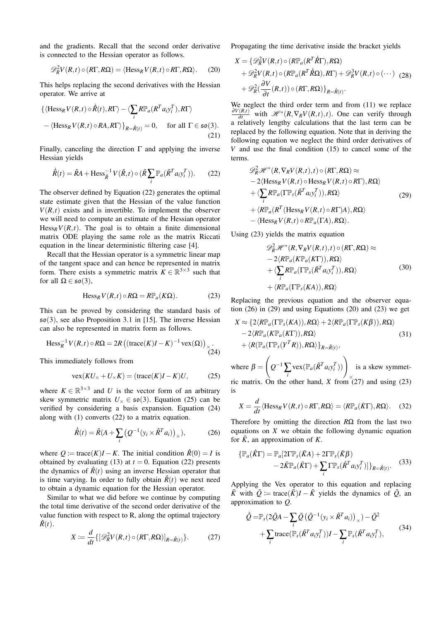and the gradients. Recall that the second order derivative is connected to the Hessian operator as follows.

$$
\mathscr{D}_{R}^{2}V(R,t)\circ (R\Gamma,R\Omega)=\langle \text{Hess}_{R}V(R,t)\circ R\Gamma,R\Omega\rangle. \tag{20}
$$

This helps replacing the second derivatives with the Hessian operator. We arrive at

$$
\{\langle \text{Hess}_{R} V(R, t) \circ \hat{R}(t), R\Gamma \rangle - \langle \sum_{i} R \mathbb{P}_{a} (R^{T} a_{i} y_{i}^{T}), R\Gamma \rangle - \langle \text{Hess}_{R} V(R, t) \circ R A, R\Gamma \rangle \}_{R = \hat{R}(t)} = 0, \quad \text{for all } \Gamma \in \mathfrak{so}(3).
$$
\n(21)

Finally, canceling the direction  $\Gamma$  and applying the inverse Hessian yields

$$
\dot{\hat{R}}(t) = \hat{R}A + \text{Hess}_{\hat{R}}^{-1} V(\hat{R}, t) \circ (\hat{R} \sum_{i} \mathbb{P}_a (\hat{R}^T a_i y_i^T)).
$$
 (22)

The observer defined by Equation (22) generates the optimal state estimate given that the Hessian of the value function  $V(R,t)$  exists and is invertible. To implement the observer we will need to compute an estimate of the Hessian operator  $Hess<sub>R</sub> V(R,t)$ . The goal is to obtain a finite dimensional matrix ODE playing the same role as the matrix Riccati equation in the linear deterministic filtering case [4].

Recall that the Hessian operator is a symmetric linear map of the tangent space and can hence be represented in matrix form. There exists a symmetric matrix  $K \in \mathbb{R}^{3 \times 3}$  such that for all  $\Omega \in \mathfrak{so}(3)$ ,

$$
\text{Hess}_R V(R, t) \circ R\Omega = R\mathbb{P}_a(K\Omega). \tag{23}
$$

This can be proved by considering the standard basis of so(3), see also Proposition 3.1 in [15]. The inverse Hessian can also be represented in matrix form as follows.

$$
\operatorname{Hess}_{R}^{-1} V(R, t) \circ R\Omega = 2R \left( (\operatorname{trace}(K)I - K)^{-1} \operatorname{vex}(\Omega) \right)_{\times}.
$$
\n(24)

This immediately follows from

$$
vex(KU_x + U_x K) = (trace(K)I - K)U, \qquad (25)
$$

where  $K \in \mathbb{R}^{3 \times 3}$  and *U* is the vector form of an arbitrary skew symmetric matrix  $U_\times \in \mathfrak{so}(3)$ . Equation (25) can be verified by considering a basis expansion. Equation (24) along with (1) converts (22) to a matrix equation.

$$
\dot{\hat{R}}(t) = \hat{R}(A + \sum_{i} \left( Q^{-1} (y_i \times \hat{R}^T a_i) \right)_{\times}), \tag{26}
$$

where  $Q := \text{trace}(K)I - K$ . The initial condition  $\hat{R}(0) = I$  is obtained by evaluating (13) at  $t = 0$ . Equation (22) presents the dynamics of  $\hat{R}(t)$  using an inverse Hessian operator that is time varying. In order to fully obtain  $\hat{R}(t)$  we next need to obtain a dynamic equation for the Hessian operator.

Similar to what we did before we continue by computing the total time derivative of the second order derivative of the value function with respect to R, along the optimal trajectory  $\hat{R}(t)$ .

$$
X := \frac{d}{dt} \{ [\mathscr{D}_R^2 V(R, t) \circ (R\Gamma, R\Omega)]_{R = \hat{R}(t)} \}.
$$
 (27)

Propagating the time derivative inside the bracket yields

$$
X = \{ \mathscr{D}_{R}^{2}V(R,t) \circ (R\mathbb{P}_{a}(R^{T}\hat{R}\Gamma), R\Omega) + \mathscr{D}_{R}^{2}V(R,t) \circ (R\mathbb{P}_{a}(R^{T}\hat{R}\Omega), R\Gamma) + \mathscr{D}_{R}^{3}V(R,t) \circ (\cdots) \quad (28) + \mathscr{D}_{R}^{2}(\frac{\partial V}{\partial t}(R,t)) \circ (R\Gamma, R\Omega) \}_{R=\hat{R}(t)}.
$$

We neglect the third order term and from (11) we replace  $\frac{\partial V(R,t)}{\partial t}$  with  $\mathcal{H}^*(R,\nabla_R V(R,t),t)$ . One can verify through a relatively lengthy calculations that the last term can be replaced by the following equation. Note that in deriving the following equation we neglect the third order derivatives of *V* and use the final condition (15) to cancel some of the terms.

$$
\mathcal{D}_R^2 \mathcal{H}^*(R, \nabla_R V(R, t), t) \circ (R\Gamma, R\Omega) \approx
$$
  
\n
$$
-2 \langle \text{Hess}_R V(R, t) \circ \text{Hess}_R V(R, t) \circ R\Gamma \rangle, R\Omega \rangle
$$
  
\n
$$
+ \langle \sum_i R\mathbb{P}_a (\Gamma \mathbb{P}_s (\hat{R}^T a_i y_i^T)), R\Omega \rangle
$$
  
\n
$$
+ \langle R\mathbb{P}_a (R^T (\text{Hess}_R V(R, t) \circ R\Gamma) A), R\Omega \rangle
$$
  
\n
$$
- \langle \text{Hess}_R V(R, t) \circ R\mathbb{P}_a(\Gamma A), R\Omega \rangle.
$$
\n(29)

Using (23) yields the matrix equation

$$
\mathcal{D}_{R}^{2} \mathcal{H}^{*}(R, \nabla_{R} V(R, t), t) \circ (R\Gamma, R\Omega) \approx \n- 2 \langle R\mathbb{P}_{a}(K\mathbb{P}_{a}(K\Gamma)), R\Omega \rangle \n+ \langle \sum_{i} R\mathbb{P}_{a}(\Gamma\mathbb{P}_{s}(\hat{R}^{T} a_{i} y_{i}^{T})), R\Omega \rangle \n+ \langle R\mathbb{P}_{a}(\Gamma\mathbb{P}_{s}(KA)), R\Omega \rangle
$$
\n(30)

Replacing the previous equation and the observer equation (26) in (29) and using Equations (20) and (23) we get

$$
X \approx \{2\langle R\mathbb{P}_a(\Gamma\mathbb{P}_s(KA)), R\Omega\rangle + 2\langle R\mathbb{P}_a(\Gamma\mathbb{P}_s(K\beta)), R\Omega\rangle - 2\langle R\mathbb{P}_a(K\mathbb{P}_a(K\Gamma)), R\Omega\rangle + \langle R(\mathbb{P}_a(\Gamma\mathbb{P}_s(Y^TR)), R\Omega)\rangle_{R=\hat{R}(t)},
$$
\n(31)

where  $\beta =$  $\sqrt{ }$ *Q* <sup>−</sup><sup>1</sup>∑ *i*  $\text{vex}(\mathbb{P}_a(\hat{R}^T a_i y_i^T))$ × is a skew symmetric matrix. On the other hand, *X* from  $(27)$  and using (23) is

$$
X = \frac{d}{dt} \langle \text{Hess}_{R} V(R, t) \circ R\Gamma, R\Omega \rangle = \langle R\mathbb{P}_{a}(\dot{K}\Gamma), R\Omega \rangle. \quad (32)
$$

Therefore by omitting the direction *R*Ω from the last two equations on *X* we obtain the following dynamic equation for  $\tilde{K}$ , an approximation of K.

$$
\begin{aligned} \{\mathbb{P}_a(\hat{K}\Gamma) &= \mathbb{P}_a[2\Gamma \mathbb{P}_s(\tilde{K}A) + 2\Gamma \mathbb{P}_s(\tilde{K}\beta) \\ &- 2\tilde{K}\mathbb{P}_a(\tilde{K}\Gamma) + \sum_i \Gamma \mathbb{P}_s(\hat{K}^T a_i y_i^T)]\}_{R=\hat{R}(t)}. \end{aligned} \tag{33}
$$

Applying the Vex operator to this equation and replacing *K*<sup> $K$ </sup> with  $\tilde{Q}$  := trace( $\tilde{K}$ )*I* −  $\tilde{K}$  yields the dynamics of  $\tilde{Q}$ , an approximation to *Q*.

$$
\tilde{Q} = \mathbb{P}_s (2\tilde{Q}A - \sum_i \tilde{Q} (\tilde{Q}^{-1}(y_i \times \hat{R}^T a_i))_{\times}) - \tilde{Q}^2 \n+ \sum_i \text{trace} (\mathbb{P}_s (\hat{R}^T a_i y_i^T)) I - \sum_i \mathbb{P}_s (\hat{R}^T a_i y_i^T),
$$
\n(34)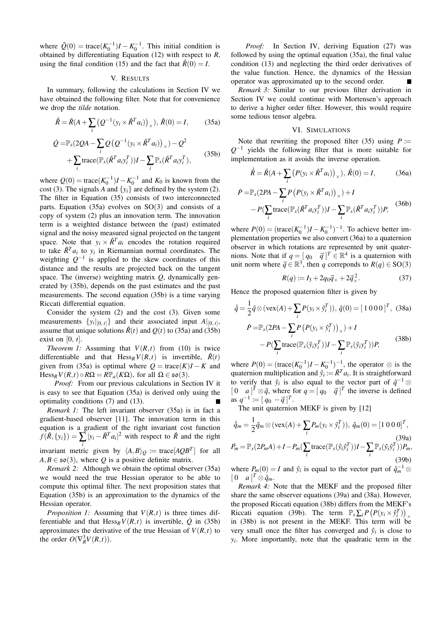where  $\tilde{Q}(0) = \text{trace}(K_0^{-1})I - K_0^{-1}$ . This initial condition is obtained by differentiating Equation (12) with respect to *R*, using the final condition (15) and the fact that  $\hat{R}(0) = I$ .

#### V. RESULTS

In summary, following the calculations in Section IV we have obtained the following filter. Note that for convenience we drop the *tilde* notation.

$$
\dot{\hat{R}} = \hat{R}(A + \sum_{i} (Q^{-1}(y_i \times \hat{R}^T a_i))_{\times}), \hat{R}(0) = I,
$$
 (35a)

$$
\dot{Q} = \mathbb{P}_s (2QA - \sum_i Q\left(Q^{-1}(y_i \times \hat{R}^T a_i)\right)_{\times}) - Q^2
$$
  
+ 
$$
\sum_i \text{trace}(\mathbb{P}_s(\hat{R}^T a_i y_i^T))I - \sum_i \mathbb{P}_s(\hat{R}^T a_i y_i^T),
$$
(35b)

where  $Q(0) = \text{trace}(K_0^{-1})I - K_0^{-1}$  and  $K_0$  is known from the cost (3). The signals *A* and  $\{y_i\}$  are defined by the system (2). The filter in Equation (35) consists of two interconnected parts. Equation (35a) evolves on  $SO(3)$  and consists of a copy of system (2) plus an innovation term. The innovation term is a weighted distance between the (past) estimated signal and the noisy measured signal projected on the tangent space. Note that  $y_i \times \hat{R}^T a_i$  encodes the rotation required to take  $\hat{R}^T a_i$  to  $y_i$  in Riemannian normal coordinates. The weighting  $Q^{-1}$  is applied to the skew coordinates of this distance and the results are projected back on the tangent space. The (inverse) weighting matrix *Q*, dynamically generated by (35b), depends on the past estimates and the past measurements. The second equation (35b) is a time varying Riccati differential equation.

Consider the system (2) and the cost (3). Given some measurements  $\{y_i|_{[0, t]}\}$  and their associated input  $A|_{[0, t]}$ , assume that unique solutions  $\hat{R}(t)$  and  $O(t)$  to (35a) and (35b) exist on  $[0, t]$ .

*Theorem 1:* Assuming that  $V(R,t)$  from (10) is twice differentiable and that  $Hess_R V(R,t)$  is invertible,  $\hat{R}(t)$ given from (35a) is optimal where  $Q = \text{trace}(K)I - K$  and  $Hess_R V(R,t) \circ R\Omega = R\mathbb{P}_a(K\Omega)$ , for all  $\Omega \in \mathfrak{so}(3)$ .

*Proof:* From our previous calculations in Section IV it is easy to see that Equation (35a) is derived only using the optimality conditions (7) and (13).

*Remark 1:* The left invariant observer (35a) is in fact a gradient-based observer [11]. The innovation term in this equation is a gradient of the right invariant cost function  $f(\hat{R}, \{y_i\}) = \sum_j |y_i - \hat{R}^T a_i|^2$  with respect to  $\hat{R}$  and the right invariant metric given by  $\langle A, B \rangle_Q := \text{trace}[AQB^T]$  for all  $A, B \in \mathfrak{so}(3)$ , where *Q* is a positive definite matrix.

*Remark 2:* Although we obtain the optimal observer (35a) we would need the true Hessian operator to be able to compute this optimal filter. The next proposition states that Equation (35b) is an approximation to the dynamics of the Hessian operator.

*Proposition 1:* Assuming that *V*(*R*,*t*) is three times differentiable and that  $Hess_R V(R,t)$  is invertible,  $\dot{Q}$  in (35b) approximates the derivative of the true Hessian of  $V(R,t)$  to the order  $O(\nabla_R^3 V(R,t)).$ 

*Proof:* In Section IV, deriving Equation (27) was followed by using the optimal equation (35a), the final value condition (13) and neglecting the third order derivatives of the value function. Hence, the dynamics of the Hessian operator was approximated up to the second order.  $\overline{\phantom{a}}$ 

*Remark 3:* Similar to our previous filter derivation in Section IV we could continue with Mortensen's approach to derive a higher order filter. However, this would require some tedious tensor algebra.

#### VI. SIMULATIONS

Note that rewriting the proposed filter (35) using  $P :=$ *Q* <sup>−</sup><sup>1</sup> yields the following filter that is more suitable for implementation as it avoids the inverse operation.

$$
\dot{\hat{R}} = \hat{R}(A + \sum_{i} \left( P(y_i \times \hat{R}^T a_i) \right)_{\times}), \ \hat{R}(0) = I, \tag{36a}
$$

$$
\dot{P} = \mathbb{P}_s(2PA - \sum_i P(P(y_i \times \hat{R}^T a_i))_{\times}) + I
$$
  
-  $P(\sum_i \text{trace}(\mathbb{P}_s(\hat{R}^T a_i y_i^T))I - \sum_i \mathbb{P}_s(\hat{R}^T a_i y_i^T))P,$  (36b)

where  $P(0) = (\text{trace}(K_0^{-1})I - K_0^{-1})^{-1}$ . To achieve better implementation properties we also convert (36a) to a quaternion observer in which rotations are represented by unit quaternions. Note that if  $q = [q_0 \quad \vec{q}]^T \in \mathbb{R}^4$  is a quaternion with unit norm where  $\vec{q} \in \mathbb{R}^3$ , then *q* correponds to  $R(q) \in SO(3)$ 

$$
R(q) := I_3 + 2q_0 \vec{q}_\times + 2\vec{q}_\times^2.
$$
 (37)

Hence the proposed quaternion filter is given by

$$
\dot{\hat{q}} = \frac{1}{2}\hat{q} \otimes (\text{vex}(A) + \sum_{i} P(y_i \times \hat{y}_i^T)), \ \hat{q}(0) = [1 \ 0 \ 0 \ 0]^T, \ \ (38a)
$$
\n
$$
\dot{P} = \mathbb{P}_s(2PA - \sum_{i} P\left(P(y_i \times \hat{y}_i^T)\right)_{\times}) + I
$$
\n
$$
-P(\sum_{i} \text{trace}(\mathbb{P}_s(\hat{y}_i \mathbf{y}_i^T))I - \sum_{i} \mathbb{P}_s(\hat{y}_i \mathbf{y}_i^T))P, \tag{38b}
$$

where  $P(0) = (\text{trace}(K_0^{-1})I - K_0^{-1})^{-1}$ , the operator ⊗ is the quaternion multiplication and  $\hat{y}_i := \hat{R}^T a_i$ . It is straightforward to verify that  $\hat{y}_i$  is also equal to the vector part of  $\hat{q}^{-1}$  ⊗  $[0 \ a]^{T} \otimes \hat{q}$ , where for  $q = [q_0 \ \ \vec{q}]^{T}$  the inverse is defined as  $q^{-1} := [q_0 - \vec{q}]^T$ .

The unit quaternion MEKF is given by [12]

$$
\hat{q}_m = \frac{1}{2}\hat{q}_m \otimes (\text{vex}(A) + \sum_i P_m(y_i \times \hat{y}_i^T)), \ \hat{q}_m(0) = [1 \ 0 \ 0 \ 0]^T,
$$
\n
$$
P_m = \mathbb{P}_s(2P_m A) + I - P_m(\sum_i \text{trace}(\mathbb{P}_s(\hat{y}_i \hat{y}_i^T))I - \sum_i \mathbb{P}_s(\hat{y}_i \hat{y}_i^T))P_m,
$$
\n(39a)\n(39b)

where  $P_m(0) = I$  and  $\hat{y}_i$  is equal to the vector part of  $\hat{q}_m^{-1} \otimes$  $[0 \quad a]^T \otimes \hat{q}_m.$ 

*Remark 4:* Note that the MEKF and the proposed filter share the same observer equations (39a) and (38a). However, the proposed Riccati equation (38b) differs from the MEKF's Riccati equation (39b). The term  $\mathbb{P}_s \sum_i P(P(y_i \times \hat{y}_i^T))_{\times}$ in (38b) is not present in the MEKF. This term will be very small once the filter has converged and  $\hat{y}_i$  is close to *yi* . More importantly, note that the quadratic term in the